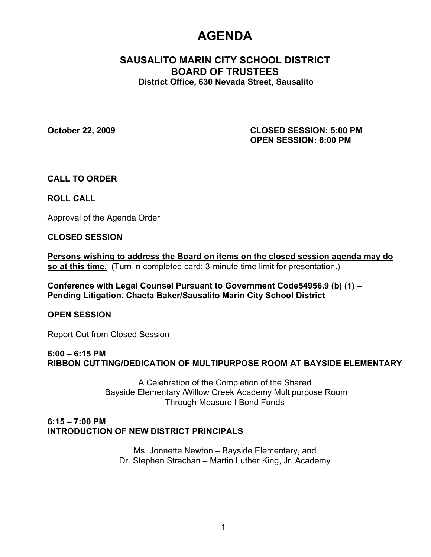# **AGENDA**

# **SAUSALITO MARIN CITY SCHOOL DISTRICT BOARD OF TRUSTEES District Office, 630 Nevada Street, Sausalito**

**October 22, 2009 CLOSED SESSION: 5:00 PM OPEN SESSION: 6:00 PM**

**CALL TO ORDER**

**ROLL CALL**

Approval of the Agenda Order

## **CLOSED SESSION**

**Persons wishing to address the Board on items on the closed session agenda may do so at this time.** (Turn in completed card; 3-minute time limit for presentation.)

**Conference with Legal Counsel Pursuant to Government Code54956.9 (b) (1) – Pending Litigation. Chaeta Baker/Sausalito Marin City School District**

**OPEN SESSION**

Report Out from Closed Session

## **6:00 – 6:15 PM**

**RIBBON CUTTING/DEDICATION OF MULTIPURPOSE ROOM AT BAYSIDE ELEMENTARY** 

A Celebration of the Completion of the Shared Bayside Elementary /Willow Creek Academy Multipurpose Room Through Measure I Bond Funds

## **6:15 – 7:00 PM INTRODUCTION OF NEW DISTRICT PRINCIPALS**

Ms. Jonnette Newton – Bayside Elementary, and Dr. Stephen Strachan – Martin Luther King, Jr. Academy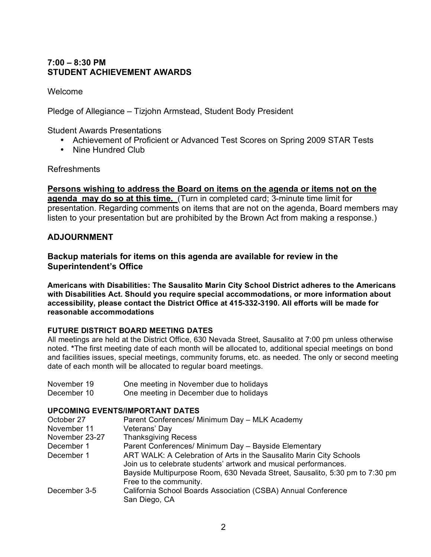# **7:00 – 8:30 PM STUDENT ACHIEVEMENT AWARDS**

Welcome

Pledge of Allegiance – Tizjohn Armstead, Student Body President

Student Awards Presentations

- Achievement of Proficient or Advanced Test Scores on Spring 2009 STAR Tests
- Nine Hundred Club

#### Refreshments

**Persons wishing to address the Board on items on the agenda or items not on the agenda may do so at this time.** (Turn in completed card; 3-minute time limit for presentation. Regarding comments on items that are not on the agenda, Board members may listen to your presentation but are prohibited by the Brown Act from making a response.)

## **ADJOURNMENT**

**Backup materials for items on this agenda are available for review in the Superintendent's Office**

**Americans with Disabilities: The Sausalito Marin City School District adheres to the Americans with Disabilities Act. Should you require special accommodations, or more information about accessibility, please contact the District Office at 415-332-3190. All efforts will be made for reasonable accommodations**

#### **FUTURE DISTRICT BOARD MEETING DATES**

All meetings are held at the District Office, 630 Nevada Street, Sausalito at 7:00 pm unless otherwise noted. **\***The first meeting date of each month will be allocated to, additional special meetings on bond and facilities issues, special meetings, community forums, etc. as needed. The only or second meeting date of each month will be allocated to regular board meetings.

- November 19 One meeting in November due to holidays
- December 10 One meeting in December due to holidays

#### **UPCOMING EVENTS/IMPORTANT DATES**

| October 27     | Parent Conferences/ Minimum Day - MLK Academy                                                                                           |
|----------------|-----------------------------------------------------------------------------------------------------------------------------------------|
| November 11    | Veterans' Day                                                                                                                           |
| November 23-27 | <b>Thanksgiving Recess</b>                                                                                                              |
| December 1     | Parent Conferences/ Minimum Day - Bayside Elementary                                                                                    |
| December 1     | ART WALK: A Celebration of Arts in the Sausalito Marin City Schools<br>Join us to celebrate students' artwork and musical performances. |
|                | Bayside Multipurpose Room, 630 Nevada Street, Sausalito, 5:30 pm to 7:30 pm<br>Free to the community.                                   |
| December 3-5   | California School Boards Association (CSBA) Annual Conference<br>San Diego, CA                                                          |